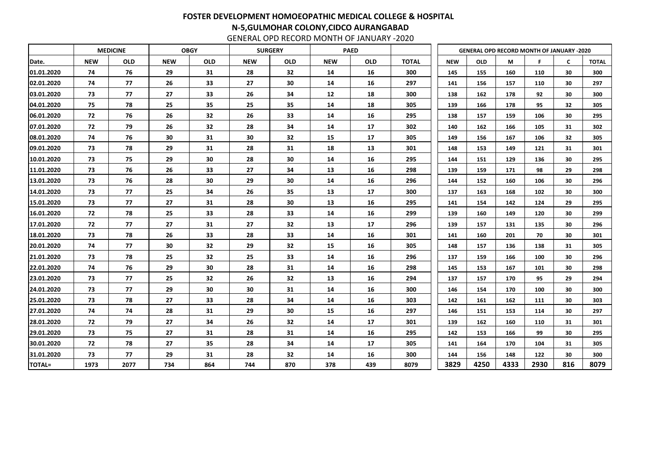|               |            | <b>MEDICINE</b> |            | <b>OBGY</b> |            | <b>SURGERY</b> |            | <b>PAED</b> |              |            | <b>GENERAL OPD RECORD MONTH OF JANUARY -2020</b> |      |      |              |              |
|---------------|------------|-----------------|------------|-------------|------------|----------------|------------|-------------|--------------|------------|--------------------------------------------------|------|------|--------------|--------------|
| Date.         | <b>NEW</b> | <b>OLD</b>      | <b>NEW</b> | <b>OLD</b>  | <b>NEW</b> | <b>OLD</b>     | <b>NEW</b> | <b>OLD</b>  | <b>TOTAL</b> | <b>NEW</b> | <b>OLD</b>                                       | M    | F    | $\mathsf{C}$ | <b>TOTAL</b> |
| 01.01.2020    | 74         | 76              | 29         | 31          | 28         | 32             | 14         | 16          | 300          | 145        | 155                                              | 160  | 110  | 30           | 300          |
| 02.01.2020    | 74         | 77              | 26         | 33          | 27         | 30             | 14         | 16          | 297          | 141        | 156                                              | 157  | 110  | 30           | 297          |
| 03.01.2020    | 73         | 77              | 27         | 33          | 26         | 34             | 12         | 18          | 300          | 138        | 162                                              | 178  | 92   | 30           | 300          |
| 04.01.2020    | 75         | 78              | 25         | 35          | 25         | 35             | 14         | 18          | 305          | 139        | 166                                              | 178  | 95   | 32           | 305          |
| 06.01.2020    | 72         | 76              | 26         | 32          | 26         | 33             | 14         | 16          | 295          | 138        | 157                                              | 159  | 106  | 30           | 295          |
| 07.01.2020    | 72         | 79              | 26         | 32          | 28         | 34             | 14         | 17          | 302          | 140        | 162                                              | 166  | 105  | 31           | 302          |
| 08.01.2020    | 74         | 76              | 30         | 31          | 30         | 32             | 15         | 17          | 305          | 149        | 156                                              | 167  | 106  | 32           | 305          |
| 09.01.2020    | 73         | 78              | 29         | 31          | 28         | 31             | 18         | 13          | 301          | 148        | 153                                              | 149  | 121  | 31           | 301          |
| 10.01.2020    | 73         | 75              | 29         | 30          | 28         | 30             | 14         | 16          | 295          | 144        | 151                                              | 129  | 136  | 30           | 295          |
| 11.01.2020    | 73         | 76              | 26         | 33          | 27         | 34             | 13         | 16          | 298          | 139        | 159                                              | 171  | 98   | 29           | 298          |
| 13.01.2020    | 73         | 76              | 28         | 30          | 29         | 30             | 14         | 16          | 296          | 144        | 152                                              | 160  | 106  | 30           | 296          |
| 14.01.2020    | 73         | 77              | 25         | 34          | 26         | 35             | 13         | 17          | 300          | 137        | 163                                              | 168  | 102  | 30           | 300          |
| 15.01.2020    | 73         | 77              | 27         | 31          | 28         | 30             | 13         | 16          | 295          | 141        | 154                                              | 142  | 124  | 29           | 295          |
| 16.01.2020    | 72         | 78              | 25         | 33          | 28         | 33             | 14         | 16          | 299          | 139        | 160                                              | 149  | 120  | 30           | 299          |
| 17.01.2020    | 72         | 77              | 27         | 31          | 27         | 32             | 13         | 17          | 296          | 139        | 157                                              | 131  | 135  | 30           | 296          |
| 18.01.2020    | 73         | 78              | 26         | 33          | 28         | 33             | 14         | 16          | 301          | 141        | 160                                              | 201  | 70   | 30           | 301          |
| 20.01.2020    | 74         | 77              | 30         | 32          | 29         | 32             | 15         | 16          | 305          | 148        | 157                                              | 136  | 138  | 31           | 305          |
| 21.01.2020    | 73         | 78              | 25         | 32          | 25         | 33             | 14         | 16          | 296          | 137        | 159                                              | 166  | 100  | 30           | 296          |
| 22.01.2020    | 74         | 76              | 29         | 30          | 28         | 31             | 14         | 16          | 298          | 145        | 153                                              | 167  | 101  | 30           | 298          |
| 23.01.2020    | 73         | 77              | 25         | 32          | 26         | 32             | 13         | 16          | 294          | 137        | 157                                              | 170  | 95   | 29           | 294          |
| 24.01.2020    | 73         | 77              | 29         | 30          | 30         | 31             | 14         | 16          | 300          | 146        | 154                                              | 170  | 100  | 30           | 300          |
| 25.01.2020    | 73         | 78              | 27         | 33          | 28         | 34             | 14         | 16          | 303          | 142        | 161                                              | 162  | 111  | 30           | 303          |
| 27.01.2020    | 74         | 74              | 28         | 31          | 29         | 30             | 15         | 16          | 297          | 146        | 151                                              | 153  | 114  | 30           | 297          |
| 28.01.2020    | 72         | 79              | 27         | 34          | 26         | 32             | 14         | 17          | 301          | 139        | 162                                              | 160  | 110  | 31           | 301          |
| 29.01.2020    | 73         | 75              | 27         | 31          | 28         | 31             | 14         | 16          | 295          | 142        | 153                                              | 166  | 99   | 30           | 295          |
| 30.01.2020    | 72         | 78              | 27         | 35          | 28         | 34             | 14         | 17          | 305          | 141        | 164                                              | 170  | 104  | 31           | 305          |
| 31.01.2020    | 73         | 77              | 29         | 31          | 28         | 32             | 14         | 16          | 300          | 144        | 156                                              | 148  | 122  | 30           | 300          |
| <b>TOTAL=</b> | 1973       | 2077            | 734        | 864         | 744        | 870            | 378        | 439         | 8079         | 3829       | 4250                                             | 4333 | 2930 | 816          | 8079         |

GENERAL OPD RECORD MONTH OF JANUARY -2020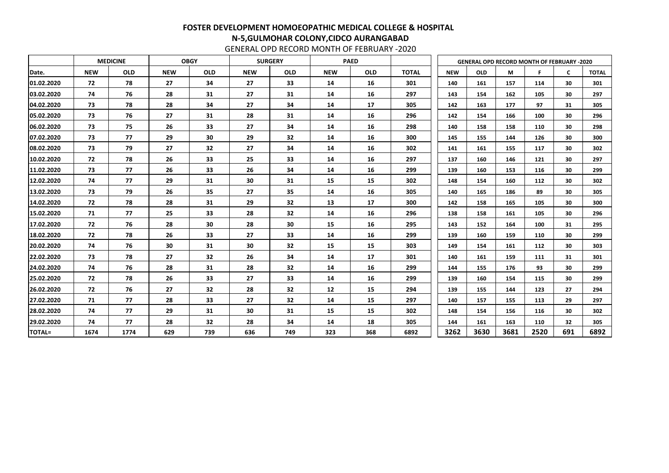|               |            | <b>MEDICINE</b> | <b>OBGY</b> |            |            | <b>SURGERY</b> |            | <b>PAED</b> |              |            |            |      | <b>GENERAL OPD RECORD MONTH OF FEBRUARY -2020</b> |              |              |
|---------------|------------|-----------------|-------------|------------|------------|----------------|------------|-------------|--------------|------------|------------|------|---------------------------------------------------|--------------|--------------|
| Date.         | <b>NEW</b> | <b>OLD</b>      | <b>NEW</b>  | <b>OLD</b> | <b>NEW</b> | <b>OLD</b>     | <b>NEW</b> | <b>OLD</b>  | <b>TOTAL</b> | <b>NEW</b> | <b>OLD</b> | М    | F                                                 | $\mathsf{C}$ | <b>TOTAL</b> |
| 01.02.2020    | 72         | 78              | 27          | 34         | 27         | 33             | 14         | 16          | 301          | 140        | 161        | 157  | 114                                               | 30           | 301          |
| 03.02.2020    | 74         | 76              | 28          | 31         | 27         | 31             | 14         | 16          | 297          | 143        | 154        | 162  | 105                                               | 30           | 297          |
| 04.02.2020    | 73         | 78              | 28          | 34         | 27         | 34             | 14         | 17          | 305          | 142        | 163        | 177  | 97                                                | 31           | 305          |
| 05.02.2020    | 73         | 76              | 27          | 31         | 28         | 31             | 14         | 16          | 296          | 142        | 154        | 166  | 100                                               | 30           | 296          |
| 06.02.2020    | 73         | 75              | 26          | 33         | 27         | 34             | 14         | 16          | 298          | 140        | 158        | 158  | 110                                               | 30           | 298          |
| 07.02.2020    | 73         | 77              | 29          | 30         | 29         | 32             | 14         | 16          | 300          | 145        | 155        | 144  | 126                                               | 30           | 300          |
| 08.02.2020    | 73         | 79              | 27          | 32         | 27         | 34             | 14         | 16          | 302          | 141        | 161        | 155  | 117                                               | 30           | 302          |
| 10.02.2020    | 72         | 78              | 26          | 33         | 25         | 33             | 14         | 16          | 297          | 137        | 160        | 146  | 121                                               | 30           | 297          |
| 11.02.2020    | 73         | 77              | 26          | 33         | 26         | 34             | 14         | 16          | 299          | 139        | 160        | 153  | 116                                               | 30           | 299          |
| 12.02.2020    | 74         | 77              | 29          | 31         | 30         | 31             | 15         | 15          | 302          | 148        | 154        | 160  | 112                                               | 30           | 302          |
| 13.02.2020    | 73         | 79              | 26          | 35         | 27         | 35             | 14         | 16          | 305          | 140        | 165        | 186  | 89                                                | 30           | 305          |
| 14.02.2020    | 72         | 78              | 28          | 31         | 29         | 32             | 13         | 17          | 300          | 142        | 158        | 165  | 105                                               | 30           | 300          |
| 15.02.2020    | 71         | 77              | 25          | 33         | 28         | 32             | 14         | 16          | 296          | 138        | 158        | 161  | 105                                               | 30           | 296          |
| 17.02.2020    | 72         | 76              | 28          | 30         | 28         | 30             | 15         | 16          | 295          | 143        | 152        | 164  | 100                                               | 31           | 295          |
| 18.02.2020    | 72         | 78              | 26          | 33         | 27         | 33             | 14         | 16          | 299          | 139        | 160        | 159  | 110                                               | 30           | 299          |
| 20.02.2020    | 74         | 76              | 30          | 31         | 30         | 32             | 15         | 15          | 303          | 149        | 154        | 161  | 112                                               | 30           | 303          |
| 22.02.2020    | 73         | 78              | 27          | 32         | 26         | 34             | 14         | 17          | 301          | 140        | 161        | 159  | 111                                               | 31           | 301          |
| 24.02.2020    | 74         | 76              | 28          | 31         | 28         | 32             | 14         | 16          | 299          | 144        | 155        | 176  | 93                                                | 30           | 299          |
| 25.02.2020    | 72         | 78              | 26          | 33         | 27         | 33             | 14         | 16          | 299          | 139        | 160        | 154  | 115                                               | 30           | 299          |
| 26.02.2020    | 72         | 76              | 27          | 32         | 28         | 32             | 12         | 15          | 294          | 139        | 155        | 144  | 123                                               | 27           | 294          |
| 27.02.2020    | 71         | 77              | 28          | 33         | 27         | 32             | 14         | 15          | 297          | 140        | 157        | 155  | 113                                               | 29           | 297          |
| 28.02.2020    | 74         | 77              | 29          | 31         | 30         | 31             | 15         | 15          | 302          | 148        | 154        | 156  | 116                                               | 30           | 302          |
| 29.02.2020    | 74         | 77              | 28          | 32         | 28         | 34             | 14         | 18          | 305          | 144        | 161        | 163  | 110                                               | 32           | 305          |
| <b>TOTAL=</b> | 1674       | 1774            | 629         | 739        | 636        | 749            | 323        | 368         | 6892         | 3262       | 3630       | 3681 | 2520                                              | 691          | 6892         |

GENERAL OPD RECORD MONTH OF FEBRUARY -2020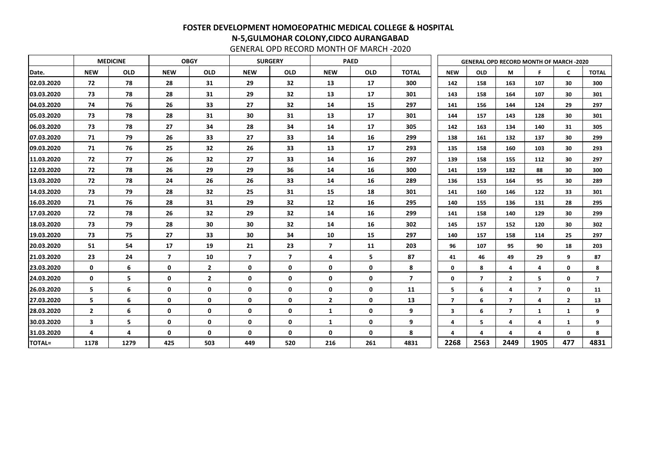|               |                         | <b>MEDICINE</b> |                         | <b>OBGY</b>    |                         | <b>SURGERY</b>          |                         | <b>PAED</b> |                |                         | <b>GENERAL OPD RECORD MONTH OF MARCH -2020</b> |                         |                |                |                |
|---------------|-------------------------|-----------------|-------------------------|----------------|-------------------------|-------------------------|-------------------------|-------------|----------------|-------------------------|------------------------------------------------|-------------------------|----------------|----------------|----------------|
| Date.         | <b>NEW</b>              | <b>OLD</b>      | <b>NEW</b>              | <b>OLD</b>     | <b>NEW</b>              | <b>OLD</b>              | <b>NEW</b>              | <b>OLD</b>  | <b>TOTAL</b>   | <b>NEW</b>              | <b>OLD</b>                                     | М                       | F              | C              | <b>TOTAL</b>   |
| 02.03.2020    | 72                      | 78              | 28                      | 31             | 29                      | 32                      | 13                      | 17          | 300            | 142                     | 158                                            | 163                     | 107            | 30             | 300            |
| 03.03.2020    | 73                      | 78              | 28                      | 31             | 29                      | 32                      | 13                      | 17          | 301            | 143                     | 158                                            | 164                     | 107            | 30             | 301            |
| 04.03.2020    | 74                      | 76              | 26                      | 33             | 27                      | 32                      | 14                      | 15          | 297            | 141                     | 156                                            | 144                     | 124            | 29             | 297            |
| 05.03.2020    | 73                      | 78              | 28                      | 31             | 30                      | 31                      | 13                      | 17          | 301            | 144                     | 157                                            | 143                     | 128            | 30             | 301            |
| 06.03.2020    | 73                      | 78              | 27                      | 34             | 28                      | 34                      | 14                      | 17          | 305            | 142                     | 163                                            | 134                     | 140            | 31             | 305            |
| 07.03.2020    | 71                      | 79              | 26                      | 33             | 27                      | 33                      | 14                      | 16          | 299            | 138                     | 161                                            | 132                     | 137            | 30             | 299            |
| 09.03.2020    | 71                      | 76              | 25                      | 32             | 26                      | 33                      | 13                      | 17          | 293            | 135                     | 158                                            | 160                     | 103            | 30             | 293            |
| 11.03.2020    | 72                      | 77              | 26                      | 32             | 27                      | 33                      | 14                      | 16          | 297            | 139                     | 158                                            | 155                     | 112            | 30             | 297            |
| 12.03.2020    | 72                      | 78              | 26                      | 29             | 29                      | 36                      | 14                      | 16          | 300            | 141                     | 159                                            | 182                     | 88             | 30             | 300            |
| 13.03.2020    | 72                      | 78              | 24                      | 26             | 26                      | 33                      | 14                      | 16          | 289            | 136                     | 153                                            | 164                     | 95             | 30             | 289            |
| 14.03.2020    | 73                      | 79              | 28                      | 32             | 25                      | 31                      | 15                      | 18          | 301            | 141                     | 160                                            | 146                     | 122            | 33             | 301            |
| 16.03.2020    | 71                      | 76              | 28                      | 31             | 29                      | 32                      | 12                      | 16          | 295            | 140                     | 155                                            | 136                     | 131            | 28             | 295            |
| 17.03.2020    | 72                      | 78              | 26                      | 32             | 29                      | 32                      | 14                      | 16          | 299            | 141                     | 158                                            | 140                     | 129            | 30             | 299            |
| 18.03.2020    | 73                      | 79              | 28                      | 30             | 30                      | 32                      | 14                      | 16          | 302            | 145                     | 157                                            | 152                     | 120            | 30             | 302            |
| 19.03.2020    | 73                      | 75              | 27                      | 33             | 30                      | 34                      | 10                      | 15          | 297            | 140                     | 157                                            | 158                     | 114            | 25             | 297            |
| 20.03.2020    | 51                      | 54              | 17                      | 19             | 21                      | 23                      | $\overline{\mathbf{z}}$ | 11          | 203            | 96                      | 107                                            | 95                      | 90             | 18             | 203            |
| 21.03.2020    | 23                      | 24              | $\overline{\mathbf{z}}$ | 10             | $\overline{\mathbf{z}}$ | $\overline{\mathbf{z}}$ | 4                       | 5           | 87             | 41                      | 46                                             | 49                      | 29             | 9              | 87             |
| 23.03.2020    | $\mathbf 0$             | 6               | $\mathbf 0$             | $\overline{2}$ | $\mathbf 0$             | $\mathbf 0$             | $\mathbf{0}$            | 0           | 8              | $\mathbf 0$             | 8                                              | 4                       | 4              | $\mathbf 0$    | 8              |
| 24.03.2020    | $\mathbf 0$             | 5               | $\mathbf 0$             | $2^{\circ}$    | $\mathbf 0$             | $\mathbf 0$             | $\mathbf{0}$            | 0           | $\overline{7}$ | $\mathbf 0$             | $\overline{7}$                                 | $\overline{2}$          | 5              | $\mathbf 0$    | $\overline{7}$ |
| 26.03.2020    | 5                       | 6               | $\mathbf 0$             | $\mathbf 0$    | 0                       | $\mathbf 0$             | 0                       | 0           | 11             | 5                       | 6                                              | 4                       | $\overline{7}$ | $\mathbf 0$    | 11             |
| 27.03.2020    | 5                       | 6               | $\mathbf 0$             | $\mathbf 0$    | $\mathbf 0$             | $\mathbf 0$             | $\overline{2}$          | 0           | 13             | $\overline{\mathbf{z}}$ | 6                                              | $\overline{\mathbf{z}}$ | 4              | $\overline{2}$ | 13             |
| 28.03.2020    | $\overline{2}$          | 6               | $\mathbf 0$             | $\mathbf 0$    | $\mathbf 0$             | $\mathbf 0$             | $\mathbf{1}$            | $\mathbf 0$ | 9              | $\overline{\mathbf{3}}$ | 6                                              | $\overline{7}$          | $\mathbf{1}$   | $\mathbf{1}$   | 9              |
| 30.03.2020    | $\overline{\mathbf{3}}$ | 5               | $\mathbf 0$             | $\mathbf 0$    | $\mathbf 0$             | $\mathbf 0$             | $\mathbf{1}$            | $\mathbf 0$ | 9              | 4                       | 5                                              | 4                       | 4              | $\mathbf{1}$   | 9              |
| 31.03.2020    | 4                       | 4               | $\mathbf 0$             | $\mathbf 0$    | $\mathbf 0$             | $\mathbf 0$             | $\mathbf{0}$            | 0           | 8              | 4                       | 4                                              | 4                       | Δ              | $\mathbf 0$    | 8              |
| <b>TOTAL=</b> | 1178                    | 1279            | 425                     | 503            | 449                     | 520                     | 216                     | 261         | 4831           | 2268                    | 2563                                           | 2449                    | 1905           | 477            | 4831           |

GENERAL OPD RECORD MONTH OF MARCH -2020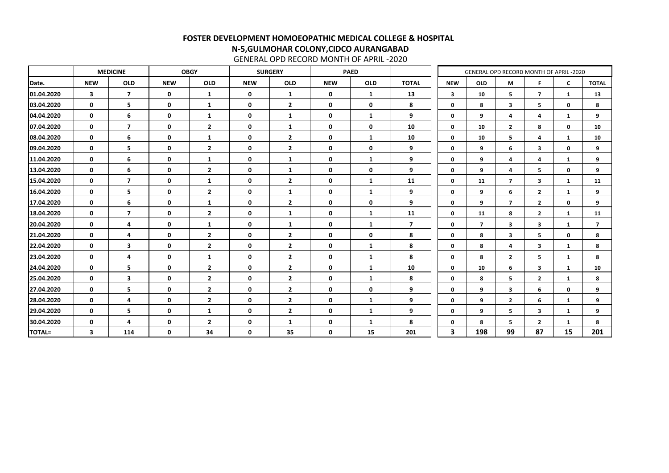|               |                         | <b>MEDICINE</b>         |             | <b>OBGY</b>    | <b>SURGERY</b><br><b>PAED</b> |                |              |              |                         |                         | GENERAL OPD RECORD MONTH OF APRIL-2020 |                         |                         |              |                |
|---------------|-------------------------|-------------------------|-------------|----------------|-------------------------------|----------------|--------------|--------------|-------------------------|-------------------------|----------------------------------------|-------------------------|-------------------------|--------------|----------------|
| Date.         | <b>NEW</b>              | <b>OLD</b>              | <b>NEW</b>  | <b>OLD</b>     | <b>NEW</b>                    | <b>OLD</b>     | <b>NEW</b>   | <b>OLD</b>   | <b>TOTAL</b>            | <b>NEW</b>              | <b>OLD</b>                             | M                       | F                       | $\mathsf{C}$ | <b>TOTAL</b>   |
| 01.04.2020    | $\overline{\mathbf{3}}$ | $\overline{7}$          | $\mathbf 0$ | $\mathbf{1}$   | $\mathbf 0$                   | $\mathbf{1}$   | $\mathbf 0$  | $\mathbf{1}$ | 13                      | $\overline{\mathbf{3}}$ | 10                                     | 5                       | $\overline{7}$          | 1            | 13             |
| 03.04.2020    | $\mathbf 0$             | 5                       | $\mathbf 0$ | $\mathbf{1}$   | $\mathbf 0$                   | $\overline{2}$ | $\mathbf 0$  | $\mathbf 0$  | 8                       | $\mathbf 0$             | 8                                      | 3                       | 5                       | $\mathbf 0$  | 8              |
| 04.04.2020    | $\mathbf 0$             | 6                       | $\mathbf 0$ | $\mathbf{1}$   | $\mathbf 0$                   | $\mathbf{1}$   | $\mathbf 0$  | $\mathbf{1}$ | 9                       | $\mathbf 0$             | 9                                      | 4                       | 4                       | $\mathbf{1}$ | 9              |
| 07.04.2020    | $\mathbf 0$             | $\overline{\mathbf{z}}$ | $\mathbf 0$ | $\overline{2}$ | $\mathbf 0$                   | $\mathbf{1}$   | $\mathbf 0$  | $\mathbf 0$  | 10                      | $\mathbf 0$             | 10                                     | $\overline{2}$          | 8                       | 0            | 10             |
| 08.04.2020    | $\mathbf 0$             | 6                       | $\mathbf 0$ | $\mathbf{1}$   | $\mathbf 0$                   | $\overline{2}$ | $\mathbf{0}$ | $\mathbf{1}$ | 10                      | $\mathbf 0$             | 10                                     | 5                       | 4                       | 1            | 10             |
| 09.04.2020    | $\mathbf 0$             | 5                       | $\mathbf 0$ | $\overline{2}$ | $\mathbf 0$                   | $\overline{2}$ | $\mathbf 0$  | $\mathbf 0$  | 9                       | $\mathbf 0$             | 9                                      | 6                       | $\overline{\mathbf{3}}$ | 0            | 9              |
| 11.04.2020    | $\mathbf 0$             | 6                       | $\mathbf 0$ | $\mathbf{1}$   | $\mathbf 0$                   | $\mathbf{1}$   | $\mathbf 0$  | $\mathbf{1}$ | 9                       | $\mathbf 0$             | 9                                      | 4                       | 4                       | 1            | 9              |
| 13.04.2020    | $\mathbf 0$             | 6                       | $\mathbf 0$ | $\overline{2}$ | $\mathbf 0$                   | $\mathbf{1}$   | $\mathbf 0$  | $\mathbf 0$  | 9                       | $\mathbf 0$             | 9                                      | 4                       | 5                       | $\mathbf 0$  | 9              |
| 15.04.2020    | $\mathbf 0$             | $\overline{\mathbf{z}}$ | $\mathbf 0$ | $\mathbf{1}$   | $\mathbf 0$                   | $\overline{2}$ | $\mathbf 0$  | $\mathbf{1}$ | 11                      | $\mathbf 0$             | 11                                     | $\overline{7}$          | $\overline{\mathbf{3}}$ | 1            | 11             |
| 16.04.2020    | $\mathbf 0$             | 5                       | $\mathbf 0$ | $\overline{2}$ | $\mathbf 0$                   | $\mathbf{1}$   | $\mathbf 0$  | $\mathbf 1$  | 9                       | $\mathbf 0$             | 9                                      | 6                       | $\overline{2}$          | $\mathbf{1}$ | 9              |
| 17.04.2020    | $\mathbf 0$             | 6                       | $\mathbf 0$ | $\mathbf{1}$   | 0                             | $\overline{2}$ | $\mathbf 0$  | 0            | 9                       | $\mathbf 0$             | 9                                      | $\overline{ }$          | $\overline{2}$          | 0            | 9              |
| 18.04.2020    | $\mathbf 0$             | $\overline{\mathbf{z}}$ | $\mathbf 0$ | $\overline{2}$ | $\mathbf 0$                   | $\mathbf{1}$   | $\mathbf{0}$ | $\mathbf{1}$ | 11                      | $\mathbf 0$             | 11                                     | 8                       | $\overline{2}$          | $\mathbf{1}$ | 11             |
| 20.04.2020    | $\mathbf 0$             | 4                       | $\mathbf 0$ | 1              | $\mathbf 0$                   | 1              | $\mathbf 0$  | 1            | $\overline{\mathbf{z}}$ | $\mathbf 0$             | $\overline{7}$                         | 3                       | 3                       | 1            | $\overline{7}$ |
| 21.04.2020    | $\mathbf 0$             | 4                       | $\mathbf 0$ | $\overline{2}$ | $\mathbf 0$                   | $\overline{2}$ | $\mathbf 0$  | $\mathbf 0$  | 8                       | $\mathbf 0$             | 8                                      | 3                       | 5                       | 0            | 8              |
| 22.04.2020    | $\mathbf 0$             | $\mathbf{3}$            | $\mathbf 0$ | $\overline{2}$ | $\mathbf 0$                   | $\overline{2}$ | $\mathbf 0$  | $\mathbf{1}$ | 8                       | $\mathbf 0$             | 8                                      | 4                       | 3                       | 1            | 8              |
| 23.04.2020    | $\mathbf 0$             | 4                       | $\mathbf 0$ | $\mathbf{1}$   | $\mathbf 0$                   | $\overline{2}$ | $\mathbf 0$  | 1            | 8                       | $\mathbf 0$             | 8                                      | $\mathbf{2}$            | 5                       | 1            | 8              |
| 24.04.2020    | $\mathbf 0$             | 5                       | $\mathbf 0$ | $\overline{2}$ | $\mathbf 0$                   | $\overline{2}$ | $\mathbf 0$  | $\mathbf{1}$ | 10                      | $\mathbf 0$             | 10                                     | 6                       | 3                       | 1            | 10             |
| 25.04.2020    | $\mathbf 0$             | $\mathbf{3}$            | $\mathbf 0$ | $\overline{2}$ | $\mathbf 0$                   | $\overline{2}$ | $\mathbf 0$  | $\mathbf{1}$ | 8                       | $\mathbf 0$             | 8                                      | 5                       | $\overline{2}$          | 1            | 8              |
| 27.04.2020    | $\mathbf 0$             | 5                       | $\mathbf 0$ | $\overline{2}$ | $\mathbf 0$                   | $\overline{2}$ | $\mathbf 0$  | $\mathbf 0$  | 9                       | $\mathbf 0$             | 9                                      | $\overline{\mathbf{3}}$ | 6                       | 0            | 9              |
| 28.04.2020    | $\mathbf 0$             | 4                       | $\mathbf 0$ | $\overline{2}$ | $\mathbf 0$                   | $\overline{2}$ | $\mathbf 0$  | $\mathbf{1}$ | 9                       | $\mathbf 0$             | 9                                      | $\overline{2}$          | 6                       | $\mathbf{1}$ | 9              |
| 29.04.2020    | $\mathbf 0$             | 5                       | $\mathbf 0$ | $\mathbf{1}$   | $\mathbf 0$                   | $\overline{2}$ | $\mathbf 0$  | $\mathbf{1}$ | 9                       | $\mathbf 0$             | 9                                      | 5                       | $\mathbf{3}$            | $\mathbf{1}$ | 9              |
| 30.04.2020    | $\mathbf 0$             | 4                       | $\mathbf 0$ | $\overline{2}$ | $\mathbf 0$                   | $\mathbf{1}$   | $\mathbf 0$  | $\mathbf{1}$ | 8                       | $\mathbf 0$             | 8                                      | 5                       | $\overline{2}$          | 1            | 8              |
| <b>TOTAL=</b> | $\mathbf{3}$            | 114                     | $\mathbf 0$ | 34             | $\mathbf 0$                   | 35             | $\mathbf 0$  | 15           | 201                     | $\mathbf{3}$            | 198                                    | 99                      | 87                      | 15           | 201            |

GENERAL OPD RECORD MONTH OF APRIL -2020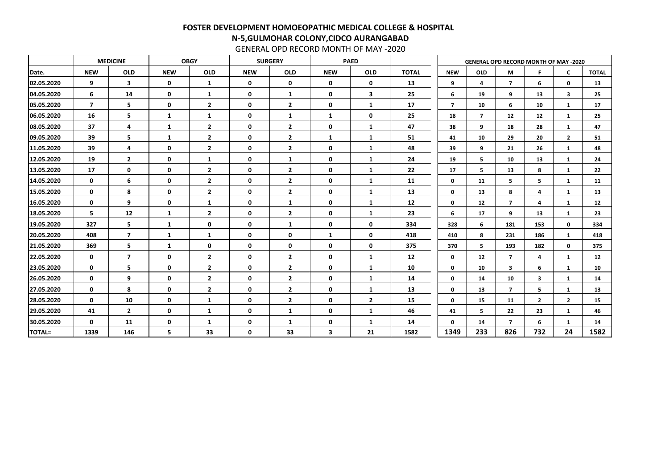|               |                         | <b>MEDICINE</b>         | <b>SURGERY</b><br><b>OBGY</b><br><b>PAED</b> |                |             |                         |              |              |              |                | <b>GENERAL OPD RECORD MONTH OF MAY -2020</b> |                         |                |                |              |
|---------------|-------------------------|-------------------------|----------------------------------------------|----------------|-------------|-------------------------|--------------|--------------|--------------|----------------|----------------------------------------------|-------------------------|----------------|----------------|--------------|
| Date.         | <b>NEW</b>              | <b>OLD</b>              | <b>NEW</b>                                   | <b>OLD</b>     | <b>NEW</b>  | <b>OLD</b>              | <b>NEW</b>   | <b>OLD</b>   | <b>TOTAL</b> | <b>NEW</b>     | <b>OLD</b>                                   | M                       | F              | $\mathsf{C}$   | <b>TOTAL</b> |
| 02.05.2020    | 9                       | $\mathbf{3}$            | $\mathbf 0$                                  | $\mathbf{1}$   | $\mathbf 0$ | $\mathbf 0$             | $\mathbf 0$  | $\mathbf 0$  | 13           | 9              | 4                                            | $\overline{7}$          | 6              | $\mathbf 0$    | 13           |
| 04.05.2020    | 6                       | 14                      | $\mathbf 0$                                  | $\mathbf{1}$   | $\mathbf 0$ | $\mathbf{1}$            | $\mathbf 0$  | 3            | 25           | 6              | 19                                           | 9                       | 13             | 3              | 25           |
| 05.05.2020    | $\overline{\mathbf{z}}$ | 5                       | $\mathbf 0$                                  | $\overline{2}$ | $\mathbf 0$ | $\overline{\mathbf{2}}$ | $\mathbf 0$  | $\mathbf{1}$ | 17           | $\overline{7}$ | 10                                           | 6                       | 10             | <sup>1</sup>   | 17           |
| 06.05.2020    | 16                      | 5                       | $\mathbf{1}$                                 | $\mathbf{1}$   | $\mathbf 0$ | $\mathbf{1}$            | $\mathbf{1}$ | $\mathbf 0$  | 25           | 18             | $\overline{7}$                               | 12                      | 12             | 1              | 25           |
| 08.05.2020    | 37                      | 4                       | $\mathbf{1}$                                 | $\overline{2}$ | $\mathbf 0$ | $\overline{2}$          | $\mathbf 0$  | $\mathbf{1}$ | 47           | 38             | 9                                            | 18                      | 28             | $\mathbf{1}$   | 47           |
| 09.05.2020    | 39                      | 5                       | $\mathbf{1}$                                 | $\overline{2}$ | $\mathbf 0$ | $\overline{2}$          | $\mathbf{1}$ | $\mathbf{1}$ | 51           | 41             | 10                                           | 29                      | 20             | $\overline{2}$ | 51           |
| 11.05.2020    | 39                      | 4                       | $\mathbf 0$                                  | $\overline{2}$ | $\mathbf 0$ | $\overline{2}$          | $\mathbf 0$  | $\mathbf{1}$ | 48           | 39             | 9                                            | 21                      | 26             | $\mathbf{1}$   | 48           |
| 12.05.2020    | 19                      | $\overline{2}$          | $\mathbf 0$                                  | $\mathbf{1}$   | $\mathbf 0$ | $\mathbf{1}$            | $\mathbf 0$  | $\mathbf{1}$ | 24           | 19             | 5                                            | 10                      | 13             | $\mathbf{1}$   | 24           |
| 13.05.2020    | 17                      | $\mathbf 0$             | $\mathbf 0$                                  | $\overline{2}$ | $\mathbf 0$ | $\overline{2}$          | $\mathbf 0$  | $\mathbf{1}$ | 22           | 17             | 5                                            | 13                      | 8              | $\mathbf{1}$   | 22           |
| 14.05.2020    | $\mathbf 0$             | 6                       | $\mathbf 0$                                  | $\overline{2}$ | $\mathbf 0$ | $\overline{2}$          | $\mathbf 0$  | $\mathbf{1}$ | 11           | $\mathbf 0$    | 11                                           | 5                       | 5              | 1              | 11           |
| 15.05.2020    | $\mathbf 0$             | 8                       | $\mathbf 0$                                  | $\overline{2}$ | $\mathbf 0$ | $\overline{2}$          | $\mathbf 0$  | $\mathbf{1}$ | 13           | $\mathbf 0$    | 13                                           | 8                       | 4              | 1              | 13           |
| 16.05.2020    | $\mathbf 0$             | 9                       | $\mathbf 0$                                  | $\mathbf{1}$   | $\mathbf 0$ | $\mathbf{1}$            | $\mathbf 0$  | $\mathbf{1}$ | 12           | $\mathbf 0$    | 12                                           | $\overline{7}$          | 4              | $\mathbf{1}$   | 12           |
| 18.05.2020    | 5                       | 12                      | $\mathbf{1}$                                 | $\overline{2}$ | $\mathbf 0$ | $\overline{2}$          | $\mathbf 0$  | $\mathbf{1}$ | 23           | 6              | 17                                           | 9                       | 13             | 1              | 23           |
| 19.05.2020    | 327                     | 5                       | 1                                            | $\mathbf 0$    | $\mathbf 0$ | 1                       | $\mathbf 0$  | 0            | 334          | 328            | 6                                            | 181                     | 153            | $\mathbf 0$    | 334          |
| 20.05.2020    | 408                     | $\overline{\mathbf{z}}$ | $\mathbf{1}$                                 | $\mathbf{1}$   | $\mathbf 0$ | $\bf{0}$                | $\mathbf{1}$ | $\mathbf 0$  | 418          | 410            | 8                                            | 231                     | 186            | 1              | 418          |
| 21.05.2020    | 369                     | 5                       | $\mathbf{1}$                                 | $\mathbf 0$    | $\mathbf 0$ | $\mathbf 0$             | $\mathbf 0$  | $\mathbf 0$  | 375          | 370            | 5                                            | 193                     | 182            | $\mathbf 0$    | 375          |
| 22.05.2020    | $\mathbf 0$             | $\overline{\mathbf{z}}$ | $\mathbf 0$                                  | $\overline{2}$ | $\mathbf 0$ | $\overline{\mathbf{2}}$ | $\mathbf 0$  | $\mathbf{1}$ | 12           | $\mathbf 0$    | 12                                           | $\overline{7}$          | 4              | $\mathbf{1}$   | 12           |
| 23.05.2020    | $\mathbf 0$             | 5                       | $\mathbf 0$                                  | $\overline{2}$ | $\mathbf 0$ | $\overline{2}$          | $\mathbf 0$  | $\mathbf{1}$ | 10           | $\mathbf 0$    | 10                                           | $\overline{\mathbf{3}}$ | 6              | $\mathbf{1}$   | 10           |
| 26.05.2020    | $\mathbf 0$             | 9                       | $\mathbf 0$                                  | $\overline{2}$ | $\mathbf 0$ | $\overline{2}$          | $\mathbf 0$  | $\mathbf{1}$ | 14           | $\mathbf 0$    | 14                                           | 10                      | 3              | 1              | 14           |
| 27.05.2020    | $\mathbf 0$             | 8                       | $\mathbf 0$                                  | $\overline{2}$ | $\mathbf 0$ | $\overline{2}$          | $\mathbf 0$  | $\mathbf{1}$ | 13           | $\mathbf 0$    | 13                                           | $\overline{7}$          | 5              | 1              | 13           |
| 28.05.2020    | $\mathbf 0$             | 10                      | $\mathbf 0$                                  | $\mathbf{1}$   | $\mathbf 0$ | $\overline{2}$          | $\mathbf 0$  | $\mathbf{2}$ | 15           | $\mathbf 0$    | 15                                           | 11                      | $\overline{2}$ | $\overline{2}$ | 15           |
| 29.05.2020    | 41                      | $\overline{2}$          | $\mathbf 0$                                  | $\mathbf{1}$   | $\mathbf 0$ | $\mathbf{1}$            | $\mathbf 0$  | $\mathbf{1}$ | 46           | 41             | 5                                            | 22                      | 23             | $\mathbf{1}$   | 46           |
| 30.05.2020    | $\mathbf 0$             | 11                      | $\mathbf 0$                                  | $\mathbf{1}$   | $\mathbf 0$ | $\mathbf{1}$            | $\mathbf 0$  | $\mathbf{1}$ | 14           | 0              | 14                                           | $\overline{\mathbf{z}}$ | 6              | 1              | 14           |
| <b>TOTAL=</b> | 1339                    | 146                     | 5                                            | 33             | $\mathbf 0$ | 33                      | $\mathbf{3}$ | 21           | 1582         | 1349           | 233                                          | 826                     | 732            | 24             | 1582         |

GENERAL OPD RECORD MONTH OF MAY -2020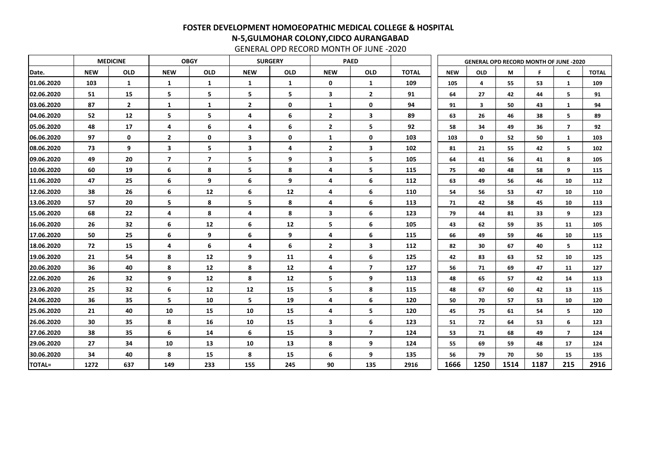|               |            | <b>MEDICINE</b> |                | <b>OBGY</b>  |                | <b>SURGERY</b>  |                         | <b>PAED</b>             |              |            | <b>GENERAL OPD RECORD MONTH OF JUNE -2020</b> |      |      |                         |              |
|---------------|------------|-----------------|----------------|--------------|----------------|-----------------|-------------------------|-------------------------|--------------|------------|-----------------------------------------------|------|------|-------------------------|--------------|
| Date.         | <b>NEW</b> | <b>OLD</b>      | <b>NEW</b>     | <b>OLD</b>   | <b>NEW</b>     | <b>OLD</b>      | <b>NEW</b>              | <b>OLD</b>              | <b>TOTAL</b> | <b>NEW</b> | <b>OLD</b>                                    | M    | F    | $\mathsf{C}$            | <b>TOTAL</b> |
| 01.06.2020    | 103        | $\mathbf{1}$    | $\mathbf{1}$   | $\mathbf{1}$ | $\mathbf{1}$   | $\mathbf{1}$    | $\mathbf 0$             | $\mathbf{1}$            | 109          | 105        | 4                                             | 55   | 53   | 1                       | 109          |
| 02.06.2020    | 51         | 15              | 5              | 5            | 5              | 5               | 3                       | $\overline{2}$          | 91           | 64         | 27                                            | 42   | 44   | 5                       | 91           |
| 03.06.2020    | 87         | $\overline{2}$  | 1              | 1            | $\overline{2}$ | $\mathbf 0$     | 1                       | 0                       | 94           | 91         | 3                                             | 50   | 43   | $\mathbf{1}$            | 94           |
| 04.06.2020    | 52         | 12              | 5              | 5            | 4              | 6               | $\overline{2}$          | 3                       | 89           | 63         | 26                                            | 46   | 38   | 5                       | 89           |
| 05.06.2020    | 48         | 17              | 4              | 6            | 4              | $6\phantom{1}6$ | $\overline{2}$          | 5                       | 92           | 58         | 34                                            | 49   | 36   | $\overline{\mathbf{z}}$ | 92           |
| 06.06.2020    | 97         | $\mathbf 0$     | $\overline{2}$ | $\mathbf 0$  | 3              | $\mathbf 0$     | 1                       | 0                       | 103          | 103        | $\mathbf 0$                                   | 52   | 50   | 1                       | 103          |
| 08.06.2020    | 73         | 9               | 3              | 5            | 3              | 4               | $\overline{2}$          | $\mathbf{3}$            | 102          | 81         | 21                                            | 55   | 42   | 5                       | 102          |
| 09.06.2020    | 49         | 20              | 7              | 7            | 5              | 9               | $\overline{\mathbf{3}}$ | 5                       | 105          | 64         | 41                                            | 56   | 41   | 8                       | 105          |
| 10.06.2020    | 60         | 19              | 6              | 8            | 5              | 8               | 4                       | 5                       | 115          | 75         | 40                                            | 48   | 58   | 9                       | 115          |
| 11.06.2020    | 47         | 25              | 6              | 9            | 6              | 9               | 4                       | 6                       | 112          | 63         | 49                                            | 56   | 46   | 10                      | 112          |
| 12.06.2020    | 38         | 26              | 6              | 12           | 6              | 12              | 4                       | 6                       | 110          | 54         | 56                                            | 53   | 47   | 10                      | 110          |
| 13.06.2020    | 57         | 20              | 5              | 8            | 5              | 8               | 4                       | 6                       | 113          | 71         | 42                                            | 58   | 45   | 10                      | 113          |
| 15.06.2020    | 68         | 22              | 4              | 8            | 4              | 8               | $\mathbf{3}$            | 6                       | 123          | 79         | 44                                            | 81   | 33   | 9                       | 123          |
| 16.06.2020    | 26         | 32              | 6              | 12           | 6              | 12              | 5                       | 6                       | 105          | 43         | 62                                            | 59   | 35   | 11                      | 105          |
| 17.06.2020    | 50         | 25              | 6              | 9            | 6              | 9               | 4                       | 6                       | 115          | 66         | 49                                            | 59   | 46   | 10                      | 115          |
| 18.06.2020    | 72         | 15              | 4              | 6            | 4              | 6               | $\overline{2}$          | 3                       | 112          | 82         | 30                                            | 67   | 40   | 5                       | 112          |
| 19.06.2020    | 21         | 54              | 8              | 12           | 9              | 11              | 4                       | 6                       | 125          | 42         | 83                                            | 63   | 52   | 10                      | 125          |
| 20.06.2020    | 36         | 40              | 8              | 12           | 8              | 12              | 4                       | 7                       | 127          | 56         | 71                                            | 69   | 47   | 11                      | 127          |
| 22.06.2020    | 26         | 32              | 9              | 12           | 8              | 12              | 5                       | 9                       | 113          | 48         | 65                                            | 57   | 42   | 14                      | 113          |
| 23.06.2020    | 25         | 32              | 6              | 12           | 12             | 15              | 5                       | 8                       | 115          | 48         | 67                                            | 60   | 42   | 13                      | 115          |
| 24.06.2020    | 36         | 35              | 5              | 10           | 5              | 19              | 4                       | 6                       | 120          | 50         | 70                                            | 57   | 53   | 10                      | 120          |
| 25.06.2020    | 21         | 40              | 10             | 15           | 10             | 15              | 4                       | 5                       | 120          | 45         | 75                                            | 61   | 54   | 5                       | 120          |
| 26.06.2020    | 30         | 35              | 8              | 16           | 10             | 15              | 3 <sup>7</sup>          | 6                       | 123          | 51         | 72                                            | 64   | 53   | 6                       | 123          |
| 27.06.2020    | 38         | 35              | 6              | 14           | 6              | 15              | 3 <sup>1</sup>          | $\overline{\mathbf{z}}$ | 124          | 53         | 71                                            | 68   | 49   | $\overline{\mathbf{z}}$ | 124          |
| 29.06.2020    | 27         | 34              | 10             | 13           | 10             | 13              | 8                       | 9                       | 124          | 55         | 69                                            | 59   | 48   | 17                      | 124          |
| 30.06.2020    | 34         | 40              | 8              | 15           | 8              | 15              | 6                       | 9                       | 135          | 56         | 79                                            | 70   | 50   | 15                      | 135          |
| <b>TOTAL=</b> | 1272       | 637             | 149            | 233          | 155            | 245             | 90                      | 135                     | 2916         | 1666       | 1250                                          | 1514 | 1187 | 215                     | 2916         |

GENERAL OPD RECORD MONTH OF JUNE -2020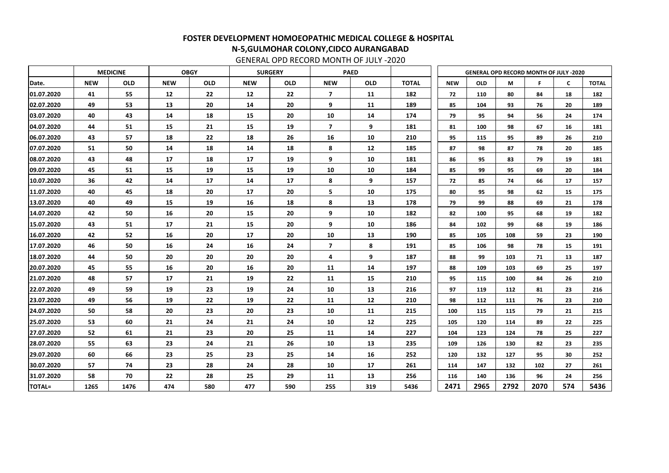|               |            | <b>MEDICINE</b><br><b>OBGY</b> |            |            |            | <b>SURGERY</b> |                         | <b>PAED</b> |              |            | <b>GENERAL OPD RECORD MONTH OF JULY -2020</b> |      |      |     |              |
|---------------|------------|--------------------------------|------------|------------|------------|----------------|-------------------------|-------------|--------------|------------|-----------------------------------------------|------|------|-----|--------------|
| Date.         | <b>NEW</b> | <b>OLD</b>                     | <b>NEW</b> | <b>OLD</b> | <b>NEW</b> | <b>OLD</b>     | <b>NEW</b>              | <b>OLD</b>  | <b>TOTAL</b> | <b>NEW</b> | <b>OLD</b>                                    | Μ    | F    | C   | <b>TOTAL</b> |
| 01.07.2020    | 41         | 55                             | 12         | 22         | 12         | 22             | $\overline{\mathbf{z}}$ | 11          | 182          | 72         | 110                                           | 80   | 84   | 18  | 182          |
| 02.07.2020    | 49         | 53                             | 13         | 20         | 14         | 20             | 9                       | 11          | 189          | 85         | 104                                           | 93   | 76   | 20  | 189          |
| 03.07.2020    | 40         | 43                             | 14         | 18         | 15         | 20             | 10                      | 14          | 174          | 79         | 95                                            | 94   | 56   | 24  | 174          |
| 04.07.2020    | 44         | 51                             | 15         | 21         | 15         | 19             | $\overline{7}$          | 9           | 181          | 81         | 100                                           | 98   | 67   | 16  | 181          |
| 06.07.2020    | 43         | 57                             | 18         | 22         | 18         | 26             | 16                      | 10          | 210          | 95         | 115                                           | 95   | 89   | 26  | 210          |
| 07.07.2020    | 51         | 50                             | 14         | 18         | 14         | 18             | 8                       | 12          | 185          | 87         | 98                                            | 87   | 78   | 20  | 185          |
| 08.07.2020    | 43         | 48                             | 17         | 18         | 17         | 19             | 9                       | 10          | 181          | 86         | 95                                            | 83   | 79   | 19  | 181          |
| 09.07.2020    | 45         | 51                             | 15         | 19         | 15         | 19             | 10                      | 10          | 184          | 85         | 99                                            | 95   | 69   | 20  | 184          |
| 10.07.2020    | 36         | 42                             | 14         | 17         | 14         | 17             | 8                       | 9           | 157          | 72         | 85                                            | 74   | 66   | 17  | 157          |
| 11.07.2020    | 40         | 45                             | 18         | 20         | 17         | 20             | 5                       | 10          | 175          | 80         | 95                                            | 98   | 62   | 15  | 175          |
| 13.07.2020    | 40         | 49                             | 15         | 19         | 16         | 18             | 8                       | 13          | 178          | 79         | 99                                            | 88   | 69   | 21  | 178          |
| 14.07.2020    | 42         | 50                             | 16         | 20         | 15         | 20             | 9                       | 10          | 182          | 82         | 100                                           | 95   | 68   | 19  | 182          |
| 15.07.2020    | 43         | 51                             | 17         | 21         | 15         | 20             | 9                       | 10          | 186          | 84         | 102                                           | 99   | 68   | 19  | 186          |
| 16.07.2020    | 42         | 52                             | 16         | 20         | 17         | 20             | 10                      | 13          | 190          | 85         | 105                                           | 108  | 59   | 23  | 190          |
| 17.07.2020    | 46         | 50                             | 16         | 24         | 16         | 24             | $\overline{\mathbf{z}}$ | 8           | 191          | 85         | 106                                           | 98   | 78   | 15  | 191          |
| 18.07.2020    | 44         | 50                             | 20         | 20         | 20         | 20             | 4                       | 9           | 187          | 88         | 99                                            | 103  | 71   | 13  | 187          |
| 20.07.2020    | 45         | 55                             | 16         | 20         | 16         | 20             | 11                      | 14          | 197          | 88         | 109                                           | 103  | 69   | 25  | 197          |
| 21.07.2020    | 48         | 57                             | 17         | 21         | 19         | 22             | <b>11</b>               | 15          | 210          | 95         | 115                                           | 100  | 84   | 26  | 210          |
| 22.07.2020    | 49         | 59                             | 19         | 23         | 19         | 24             | 10                      | 13          | 216          | 97         | 119                                           | 112  | 81   | 23  | 216          |
| 23.07.2020    | 49         | 56                             | 19         | 22         | 19         | 22             | 11                      | 12          | 210          | 98         | 112                                           | 111  | 76   | 23  | 210          |
| 24.07.2020    | 50         | 58                             | 20         | 23         | 20         | 23             | 10                      | 11          | 215          | 100        | 115                                           | 115  | 79   | 21  | 215          |
| 25.07.2020    | 53         | 60                             | 21         | 24         | 21         | 24             | 10                      | 12          | 225          | 105        | 120                                           | 114  | 89   | 22  | 225          |
| 27.07.2020    | 52         | 61                             | 21         | 23         | 20         | 25             | 11                      | 14          | 227          | 104        | 123                                           | 124  | 78   | 25  | 227          |
| 28.07.2020    | 55         | 63                             | 23         | 24         | 21         | 26             | 10                      | 13          | 235          | 109        | 126                                           | 130  | 82   | 23  | 235          |
| 29.07.2020    | 60         | 66                             | 23         | 25         | 23         | 25             | 14                      | 16          | 252          | 120        | 132                                           | 127  | 95   | 30  | 252          |
| 30.07.2020    | 57         | 74                             | 23         | 28         | 24         | 28             | 10                      | 17          | 261          | 114        | 147                                           | 132  | 102  | 27  | 261          |
| 31.07.2020    | 58         | 70                             | 22         | 28         | 25         | 29             | 11                      | 13          | 256          | 116        | 140                                           | 136  | 96   | 24  | 256          |
| <b>TOTAL=</b> | 1265       | 1476                           | 474        | 580        | 477        | 590            | 255                     | 319         | 5436         | 2471       | 2965                                          | 2792 | 2070 | 574 | 5436         |

GENERAL OPD RECORD MONTH OF JULY -2020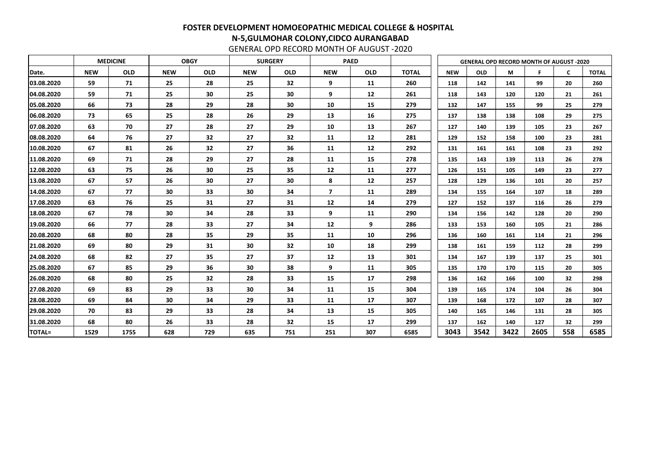|               |            | <b>MEDICINE</b> |            | <b>OBGY</b> |            | <b>SURGERY</b> |                | <b>PAED</b> |              |            |            | <b>GENERAL OPD RECORD MONTH OF AUGUST -2020</b> |      |              |              |
|---------------|------------|-----------------|------------|-------------|------------|----------------|----------------|-------------|--------------|------------|------------|-------------------------------------------------|------|--------------|--------------|
| Date.         | <b>NEW</b> | <b>OLD</b>      | <b>NEW</b> | <b>OLD</b>  | <b>NEW</b> | <b>OLD</b>     | <b>NEW</b>     | <b>OLD</b>  | <b>TOTAL</b> | <b>NEW</b> | <b>OLD</b> | M                                               | F    | $\mathsf{C}$ | <b>TOTAL</b> |
| 03.08.2020    | 59         | 71              | 25         | 28          | 25         | 32             | 9              | 11          | 260          | 118        | 142        | 141                                             | 99   | 20           | 260          |
| 04.08.2020    | 59         | 71              | 25         | 30          | 25         | 30             | 9              | 12          | 261          | 118        | 143        | 120                                             | 120  | 21           | 261          |
| 05.08.2020    | 66         | 73              | 28         | 29          | 28         | 30             | 10             | 15          | 279          | 132        | 147        | 155                                             | 99   | 25           | 279          |
| 06.08.2020    | 73         | 65              | 25         | 28          | 26         | 29             | 13             | 16          | 275          | 137        | 138        | 138                                             | 108  | 29           | 275          |
| 07.08.2020    | 63         | 70              | 27         | 28          | 27         | 29             | 10             | 13          | 267          | 127        | 140        | 139                                             | 105  | 23           | 267          |
| 08.08.2020    | 64         | 76              | 27         | 32          | 27         | 32             | 11             | 12          | 281          | 129        | 152        | 158                                             | 100  | 23           | 281          |
| 10.08.2020    | 67         | 81              | 26         | 32          | 27         | 36             | 11             | 12          | 292          | 131        | 161        | 161                                             | 108  | 23           | 292          |
| 11.08.2020    | 69         | 71              | 28         | 29          | 27         | 28             | 11             | 15          | 278          | 135        | 143        | 139                                             | 113  | 26           | 278          |
| 12.08.2020    | 63         | 75              | 26         | 30          | 25         | 35             | 12             | 11          | 277          | 126        | 151        | 105                                             | 149  | 23           | 277          |
| 13.08.2020    | 67         | 57              | 26         | 30          | 27         | 30             | 8              | 12          | 257          | 128        | 129        | 136                                             | 101  | 20           | 257          |
| 14.08.2020    | 67         | 77              | 30         | 33          | 30         | 34             | $\overline{ }$ | 11          | 289          | 134        | 155        | 164                                             | 107  | 18           | 289          |
| 17.08.2020    | 63         | 76              | 25         | 31          | 27         | 31             | 12             | 14          | 279          | 127        | 152        | 137                                             | 116  | 26           | 279          |
| 18.08.2020    | 67         | 78              | 30         | 34          | 28         | 33             | 9              | 11          | 290          | 134        | 156        | 142                                             | 128  | 20           | 290          |
| 19.08.2020    | 66         | 77              | 28         | 33          | 27         | 34             | 12             | 9           | 286          | 133        | 153        | 160                                             | 105  | 21           | 286          |
| 20.08.2020    | 68         | 80              | 28         | 35          | 29         | 35             | 11             | 10          | 296          | 136        | 160        | 161                                             | 114  | 21           | 296          |
| 21.08.2020    | 69         | 80              | 29         | 31          | 30         | 32             | 10             | 18          | 299          | 138        | 161        | 159                                             | 112  | 28           | 299          |
| 24.08.2020    | 68         | 82              | 27         | 35          | 27         | 37             | 12             | 13          | 301          | 134        | 167        | 139                                             | 137  | 25           | 301          |
| 25.08.2020    | 67         | 85              | 29         | 36          | 30         | 38             | 9              | 11          | 305          | 135        | 170        | 170                                             | 115  | 20           | 305          |
| 26.08.2020    | 68         | 80              | 25         | 32          | 28         | 33             | 15             | 17          | 298          | 136        | 162        | 166                                             | 100  | 32           | 298          |
| 27.08.2020    | 69         | 83              | 29         | 33          | 30         | 34             | 11             | 15          | 304          | 139        | 165        | 174                                             | 104  | 26           | 304          |
| 28.08.2020    | 69         | 84              | 30         | 34          | 29         | 33             | 11             | 17          | 307          | 139        | 168        | 172                                             | 107  | 28           | 307          |
| 29.08.2020    | 70         | 83              | 29         | 33          | 28         | 34             | 13             | 15          | 305          | 140        | 165        | 146                                             | 131  | 28           | 305          |
| 31.08.2020    | 68         | 80              | 26         | 33          | 28         | 32             | 15             | 17          | 299          | 137        | 162        | 140                                             | 127  | 32           | 299          |
| <b>TOTAL=</b> | 1529       | 1755            | 628        | 729         | 635        | 751            | 251            | 307         | 6585         | 3043       | 3542       | 3422                                            | 2605 | 558          | 6585         |

GENERAL OPD RECORD MONTH OF AUGUST -2020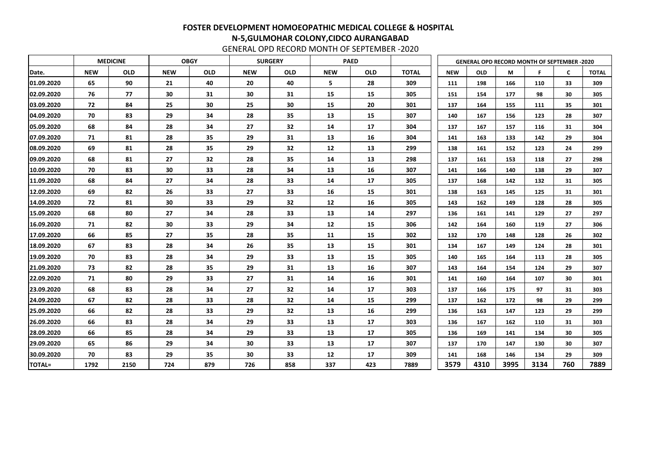|               |            | <b>MEDICINE</b> | <b>OBGY</b><br><b>SURGERY</b><br><b>PAED</b> |            |            |            |            |            | <b>GENERAL OPD RECORD MONTH OF SEPTEMBER -2020</b> |            |            |      |      |     |              |
|---------------|------------|-----------------|----------------------------------------------|------------|------------|------------|------------|------------|----------------------------------------------------|------------|------------|------|------|-----|--------------|
| Date.         | <b>NEW</b> | <b>OLD</b>      | <b>NEW</b>                                   | <b>OLD</b> | <b>NEW</b> | <b>OLD</b> | <b>NEW</b> | <b>OLD</b> | <b>TOTAL</b>                                       | <b>NEW</b> | <b>OLD</b> | M    | F    | C   | <b>TOTAL</b> |
| 01.09.2020    | 65         | 90              | 21                                           | 40         | 20         | 40         | 5          | 28         | 309                                                | 111        | 198        | 166  | 110  | 33  | 309          |
| 02.09.2020    | 76         | 77              | 30                                           | 31         | 30         | 31         | 15         | 15         | 305                                                | 151        | 154        | 177  | 98   | 30  | 305          |
| 03.09.2020    | 72         | 84              | 25                                           | 30         | 25         | 30         | 15         | 20         | 301                                                | 137        | 164        | 155  | 111  | 35  | 301          |
| 04.09.2020    | 70         | 83              | 29                                           | 34         | 28         | 35         | 13         | 15         | 307                                                | 140        | 167        | 156  | 123  | 28  | 307          |
| 05.09.2020    | 68         | 84              | 28                                           | 34         | 27         | 32         | 14         | 17         | 304                                                | 137        | 167        | 157  | 116  | 31  | 304          |
| 07.09.2020    | 71         | 81              | 28                                           | 35         | 29         | 31         | 13         | 16         | 304                                                | 141        | 163        | 133  | 142  | 29  | 304          |
| 08.09.2020    | 69         | 81              | 28                                           | 35         | 29         | 32         | 12         | 13         | 299                                                | 138        | 161        | 152  | 123  | 24  | 299          |
| 09.09.2020    | 68         | 81              | 27                                           | 32         | 28         | 35         | 14         | 13         | 298                                                | 137        | 161        | 153  | 118  | 27  | 298          |
| 10.09.2020    | 70         | 83              | 30                                           | 33         | 28         | 34         | 13         | 16         | 307                                                | 141        | 166        | 140  | 138  | 29  | 307          |
| 11.09.2020    | 68         | 84              | 27                                           | 34         | 28         | 33         | 14         | 17         | 305                                                | 137        | 168        | 142  | 132  | 31  | 305          |
| 12.09.2020    | 69         | 82              | 26                                           | 33         | 27         | 33         | 16         | 15         | 301                                                | 138        | 163        | 145  | 125  | 31  | 301          |
| 14.09.2020    | 72         | 81              | 30                                           | 33         | 29         | 32         | 12         | 16         | 305                                                | 143        | 162        | 149  | 128  | 28  | 305          |
| 15.09.2020    | 68         | 80              | 27                                           | 34         | 28         | 33         | 13         | 14         | 297                                                | 136        | 161        | 141  | 129  | 27  | 297          |
| 16.09.2020    | 71         | 82              | 30                                           | 33         | 29         | 34         | 12         | 15         | 306                                                | 142        | 164        | 160  | 119  | 27  | 306          |
| 17.09.2020    | 66         | 85              | 27                                           | 35         | 28         | 35         | 11         | 15         | 302                                                | 132        | 170        | 148  | 128  | 26  | 302          |
| 18.09.2020    | 67         | 83              | 28                                           | 34         | 26         | 35         | 13         | 15         | 301                                                | 134        | 167        | 149  | 124  | 28  | 301          |
| 19.09.2020    | 70         | 83              | 28                                           | 34         | 29         | 33         | 13         | 15         | 305                                                | 140        | 165        | 164  | 113  | 28  | 305          |
| 21.09.2020    | 73         | 82              | 28                                           | 35         | 29         | 31         | 13         | 16         | 307                                                | 143        | 164        | 154  | 124  | 29  | 307          |
| 22.09.2020    | 71         | 80              | 29                                           | 33         | 27         | 31         | 14         | 16         | 301                                                | 141        | 160        | 164  | 107  | 30  | 301          |
| 23.09.2020    | 68         | 83              | 28                                           | 34         | 27         | 32         | 14         | 17         | 303                                                | 137        | 166        | 175  | 97   | 31  | 303          |
| 24.09.2020    | 67         | 82              | 28                                           | 33         | 28         | 32         | 14         | 15         | 299                                                | 137        | 162        | 172  | 98   | 29  | 299          |
| 25.09.2020    | 66         | 82              | 28                                           | 33         | 29         | 32         | 13         | 16         | 299                                                | 136        | 163        | 147  | 123  | 29  | 299          |
| 26.09.2020    | 66         | 83              | 28                                           | 34         | 29         | 33         | 13         | 17         | 303                                                | 136        | 167        | 162  | 110  | 31  | 303          |
| 28.09.2020    | 66         | 85              | 28                                           | 34         | 29         | 33         | 13         | 17         | 305                                                | 136        | 169        | 141  | 134  | 30  | 305          |
| 29.09.2020    | 65         | 86              | 29                                           | 34         | 30         | 33         | 13         | 17         | 307                                                | 137        | 170        | 147  | 130  | 30  | 307          |
| 30.09.2020    | 70         | 83              | 29                                           | 35         | 30         | 33         | 12         | 17         | 309                                                | 141        | 168        | 146  | 134  | 29  | 309          |
| <b>TOTAL=</b> | 1792       | 2150            | 724                                          | 879        | 726        | 858        | 337        | 423        | 7889                                               | 3579       | 4310       | 3995 | 3134 | 760 | 7889         |

GENERAL OPD RECORD MONTH OF SEPTEMBER -2020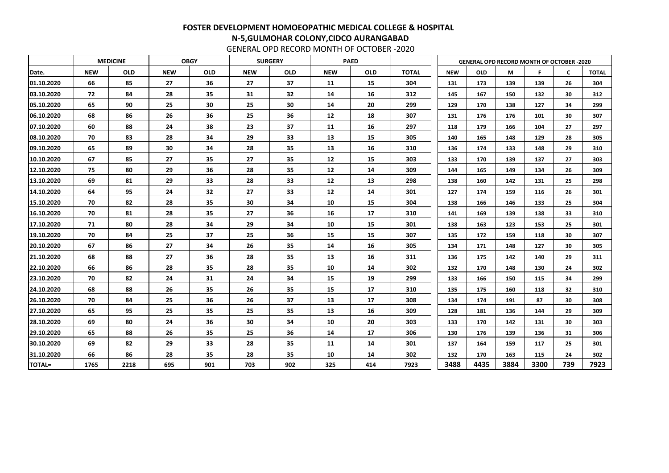|               |            | <b>MEDICINE</b> |            | <b>OBGY</b> |            | <b>SURGERY</b>  |            | <b>PAED</b> |              | <b>GENERAL OPD RECORD MONTH OF OCTOBER -2020</b> |            |      |      |                 |              |
|---------------|------------|-----------------|------------|-------------|------------|-----------------|------------|-------------|--------------|--------------------------------------------------|------------|------|------|-----------------|--------------|
| Date.         | <b>NEW</b> | <b>OLD</b>      | <b>NEW</b> | <b>OLD</b>  | <b>NEW</b> | <b>OLD</b>      | <b>NEW</b> | <b>OLD</b>  | <b>TOTAL</b> | <b>NEW</b>                                       | <b>OLD</b> | М    | Е    | $\mathsf{C}$    | <b>TOTAL</b> |
| 01.10.2020    | 66         | 85              | 27         | 36          | 27         | 37              | 11         | 15          | 304          | 131                                              | 173        | 139  | 139  | 26              | 304          |
| 03.10.2020    | 72         | 84              | 28         | 35          | 31         | 32              | 14         | 16          | 312          | 145                                              | 167        | 150  | 132  | 30              | 312          |
| 05.10.2020    | 65         | 90              | 25         | 30          | 25         | 30              | 14         | 20          | 299          | 129                                              | 170        | 138  | 127  | 34              | 299          |
| 06.10.2020    | 68         | 86              | 26         | 36          | 25         | 36              | 12         | 18          | 307          | 131                                              | 176        | 176  | 101  | 30              | 307          |
| 07.10.2020    | 60         | 88              | 24         | 38          | 23         | 37              | 11         | 16          | 297          | 118                                              | 179        | 166  | 104  | 27              | 297          |
| 08.10.2020    | 70         | 83              | 28         | 34          | 29         | 33              | 13         | 15          | 305          | 140                                              | 165        | 148  | 129  | 28              | 305          |
| 09.10.2020    | 65         | 89              | 30         | 34          | 28         | 35              | 13         | 16          | 310          | 136                                              | 174        | 133  | 148  | 29              | 310          |
| 10.10.2020    | 67         | 85              | 27         | 35          | 27         | 35              | 12         | 15          | 303          | 133                                              | 170        | 139  | 137  | 27              | 303          |
| 12.10.2020    | 75         | 80              | 29         | 36          | 28         | 35              | 12         | 14          | 309          | 144                                              | 165        | 149  | 134  | 26              | 309          |
| 13.10.2020    | 69         | 81              | 29         | 33          | 28         | 33              | 12         | 13          | 298          | 138                                              | 160        | 142  | 131  | 25              | 298          |
| 14.10.2020    | 64         | 95              | 24         | 32          | 27         | 33              | 12         | 14          | 301          | 127                                              | 174        | 159  | 116  | 26              | 301          |
| 15.10.2020    | 70         | 82              | 28         | 35          | 30         | 34              | 10         | 15          | 304          | 138                                              | 166        | 146  | 133  | 25              | 304          |
| 16.10.2020    | 70         | 81              | 28         | 35          | 27         | 36              | 16         | 17          | 310          | 141                                              | 169        | 139  | 138  | 33              | 310          |
| 17.10.2020    | 71         | 80              | 28         | 34          | 29         | 34              | 10         | 15          | 301          | 138                                              | 163        | 123  | 153  | 25              | 301          |
| 19.10.2020    | 70         | 84              | 25         | 37          | 25         | 36              | 15         | 15          | 307          | 135                                              | 172        | 159  | 118  | 30              | 307          |
| 20.10.2020    | 67         | 86              | 27         | 34          | 26         | 35              | 14         | 16          | 305          | 134                                              | 171        | 148  | 127  | 30              | 305          |
| 21.10.2020    | 68         | 88              | 27         | 36          | 28         | 35              | 13         | 16          | 311          | 136                                              | 175        | 142  | 140  | 29              | 311          |
| 22.10.2020    | 66         | 86              | 28         | 35          | 28         | 35              | 10         | 14          | 302          | 132                                              | 170        | 148  | 130  | 24              | 302          |
| 23.10.2020    | 70         | 82              | 24         | 31          | 24         | 34              | 15         | 19          | 299          | 133                                              | 166        | 150  | 115  | 34              | 299          |
| 24.10.2020    | 68         | 88              | 26         | 35          | 26         | 35              | 15         | 17          | 310          | 135                                              | 175        | 160  | 118  | 32 <sub>2</sub> | 310          |
| 26.10.2020    | 70         | 84              | 25         | 36          | 26         | 37              | 13         | 17          | 308          | 134                                              | 174        | 191  | 87   | 30              | 308          |
| 27.10.2020    | 65         | 95              | 25         | 35          | 25         | 35              | 13         | 16          | 309          | 128                                              | 181        | 136  | 144  | 29              | 309          |
| 28.10.2020    | 69         | 80              | 24         | 36          | 30         | 34              | 10         | 20          | 303          | 133                                              | 170        | 142  | 131  | 30              | 303          |
| 29.10.2020    | 65         | 88              | 26         | 35          | 25         | 36              | 14         | 17          | 306          | 130                                              | 176        | 139  | 136  | 31              | 306          |
| 30.10.2020    | 69         | 82              | 29         | 33          | 28         | 35 <sub>2</sub> | 11         | 14          | 301          | 137                                              | 164        | 159  | 117  | 25              | 301          |
| 31.10.2020    | 66         | 86              | 28         | 35          | 28         | 35 <sub>2</sub> | 10         | 14          | 302          | 132                                              | 170        | 163  | 115  | 24              | 302          |
| <b>TOTAL=</b> | 1765       | 2218            | 695        | 901         | 703        | 902             | 325        | 414         | 7923         | 3488                                             | 4435       | 3884 | 3300 | 739             | 7923         |

GENERAL OPD RECORD MONTH OF OCTOBER -2020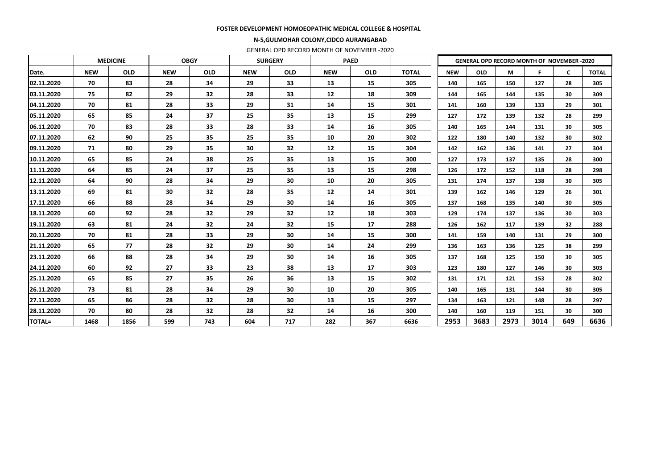|               |            | <b>MEDICINE</b> | <b>OBGY</b> |            |            | <b>SURGERY</b> |            | <b>PAED</b> |              |            |            | <b>GENERAL OPD RECORD MONTH OF NOVEMBER -2020</b> |      |              |              |
|---------------|------------|-----------------|-------------|------------|------------|----------------|------------|-------------|--------------|------------|------------|---------------------------------------------------|------|--------------|--------------|
| Date.         | <b>NEW</b> | <b>OLD</b>      | <b>NEW</b>  | <b>OLD</b> | <b>NEW</b> | <b>OLD</b>     | <b>NEW</b> | <b>OLD</b>  | <b>TOTAL</b> | <b>NEW</b> | <b>OLD</b> | M                                                 | F.   | $\mathsf{C}$ | <b>TOTAL</b> |
| 02.11.2020    | 70         | 83              | 28          | 34         | 29         | 33             | 13         | 15          | 305          | 140        | 165        | 150                                               | 127  | 28           | 305          |
| 03.11.2020    | 75         | 82              | 29          | 32         | 28         | 33             | 12         | 18          | 309          | 144        | 165        | 144                                               | 135  | 30           | 309          |
| 04.11.2020    | 70         | 81              | 28          | 33         | 29         | 31             | 14         | 15          | 301          | 141        | 160        | 139                                               | 133  | 29           | 301          |
| 05.11.2020    | 65         | 85              | 24          | 37         | 25         | 35             | 13         | 15          | 299          | 127        | 172        | 139                                               | 132  | 28           | 299          |
| 06.11.2020    | 70         | 83              | 28          | 33         | 28         | 33             | 14         | 16          | 305          | 140        | 165        | 144                                               | 131  | 30           | 305          |
| 07.11.2020    | 62         | 90              | 25          | 35         | 25         | 35             | 10         | 20          | 302          | 122        | 180        | 140                                               | 132  | 30           | 302          |
| 09.11.2020    | 71         | 80              | 29          | 35         | 30         | 32             | 12         | 15          | 304          | 142        | 162        | 136                                               | 141  | 27           | 304          |
| 10.11.2020    | 65         | 85              | 24          | 38         | 25         | 35             | 13         | 15          | 300          | 127        | 173        | 137                                               | 135  | 28           | 300          |
| 11.11.2020    | 64         | 85              | 24          | 37         | 25         | 35             | 13         | 15          | 298          | 126        | 172        | 152                                               | 118  | 28           | 298          |
| 12.11.2020    | 64         | 90              | 28          | 34         | 29         | 30             | 10         | 20          | 305          | 131        | 174        | 137                                               | 138  | 30           | 305          |
| 13.11.2020    | 69         | 81              | 30          | 32         | 28         | 35             | 12         | 14          | 301          | 139        | 162        | 146                                               | 129  | 26           | 301          |
| 17.11.2020    | 66         | 88              | 28          | 34         | 29         | 30             | 14         | 16          | 305          | 137        | 168        | 135                                               | 140  | 30           | 305          |
| 18.11.2020    | 60         | 92              | 28          | 32         | 29         | 32             | 12         | 18          | 303          | 129        | 174        | 137                                               | 136  | 30           | 303          |
| 19.11.2020    | 63         | 81              | 24          | 32         | 24         | 32             | 15         | 17          | 288          | 126        | 162        | 117                                               | 139  | 32           | 288          |
| 20.11.2020    | 70         | 81              | 28          | 33         | 29         | 30             | 14         | 15          | 300          | 141        | 159        | 140                                               | 131  | 29           | 300          |
| 21.11.2020    | 65         | 77              | 28          | 32         | 29         | 30             | 14         | 24          | 299          | 136        | 163        | 136                                               | 125  | 38           | 299          |
| 23.11.2020    | 66         | 88              | 28          | 34         | 29         | 30             | 14         | 16          | 305          | 137        | 168        | 125                                               | 150  | 30           | 305          |
| 24.11.2020    | 60         | 92              | 27          | 33         | 23         | 38             | 13         | 17          | 303          | 123        | 180        | 127                                               | 146  | 30           | 303          |
| 25.11.2020    | 65         | 85              | 27          | 35         | 26         | 36             | 13         | 15          | 302          | 131        | 171        | 121                                               | 153  | 28           | 302          |
| 26.11.2020    | 73         | 81              | 28          | 34         | 29         | 30             | 10         | 20          | 305          | 140        | 165        | 131                                               | 144  | 30           | 305          |
| 27.11.2020    | 65         | 86              | 28          | 32         | 28         | 30             | 13         | 15          | 297          | 134        | 163        | 121                                               | 148  | 28           | 297          |
| 28.11.2020    | 70         | 80              | 28          | 32         | 28         | 32             | 14         | 16          | 300          | 140        | 160        | 119                                               | 151  | 30           | 300          |
| <b>TOTAL=</b> | 1468       | 1856            | 599         | 743        | 604        | 717            | 282        | 367         | 6636         | 2953       | 3683       | 2973                                              | 3014 | 649          | 6636         |

#### FOSTER DEVELOPMENT HOMOEOPATHIC MEDICAL COLLEGE & HOSPITAL

#### N-5,GULMOHAR COLONY,CIDCO AURANGABAD

GENERAL OPD RECORD MONTH OF NOVEMBER -2020